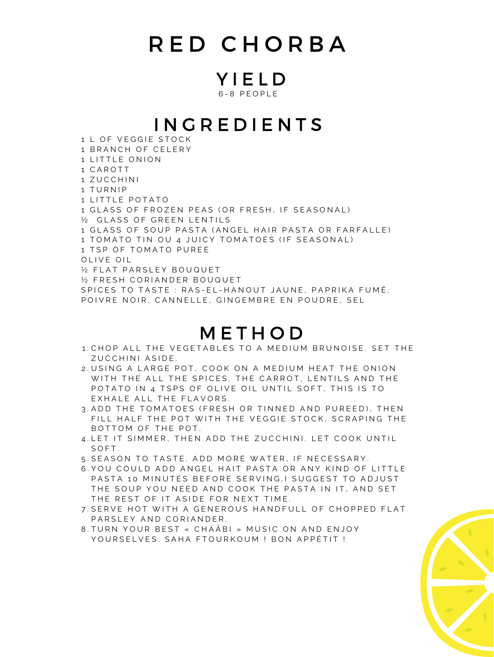## R E D C H O R B A

Y I E L D 6 - 8 P E O P L E

## I N G R E D I E N T S

1 L OF VEGGIE STOCK 1 BRANCH OF CELERY 1 LITTLE ONION 1 C A R O T T 1 ZUCCHINI 1 TURNIP 1 LITTLE POTATO 1 GLASS OF FROZEN PEAS (OR FRESH, IF SEASONAL) 1/2 GLASS OF GREEN LENTILS 1 GLASS OF SOUP PASTA (ANGEL HAIR PASTA OR FARFALLE) 1 TOMATO TIN OU 4 JUICY TOMATOES (IF SEASONAL) 1 TSP OF TOMATO PUREE OLIVE OIL 1/2 FLAT PARSLEY BOUQUET 1/2 FRESH CORIANDER BOUQUET SPICES TO TASTE : RAS-EL-HANOUT JAUNE, PAPRIKA FUMÉ, POIVRE NOIR, CANNELLE, GINGEMBRE EN POUDRE, SEL

## **METHOD**

- 1. CHOP ALL THE VEGETABLES TO A MEDIUM BRUNOISE. SET THE ZUCCHINI ASIDE.
- 2. USING A LARGE POT, COOK ON A MEDIUM HEAT THE ONION WITH THE ALL THE SPICES, THE CARROT, LENTILS AND THE POTATO IN 4 TSPS OF OLIVE OIL UNTIL SOFT, THIS IS TO EXHALE ALL THE FLAVORS.
- 3. ADD THE TOMATOES (FRESH OR TINNED AND PUREED), THEN FILL HALF THE POT WITH THE VEGGIE STOCK, SCRAPING THE BOTTOM OF THE POT.
- 4.LET IT SIMMER, THEN ADD THE ZUCCHINI. LET COOK UNTIL SOFT.
- 5. SEASON TO TASTE. ADD MORE WATER, IF NECESSARY.
- 6.YOU COULD ADD ANGEL HAIT PASTA OR ANY KIND OF LITTLE PASTA 10 MINUTES BEFORE SERVING, I SUGGEST TO ADJUST THE SOUP YOU NEED AND COOK THE PASTA IN IT, AND SET THE REST OF IT ASIDE FOR NEXT TIME.
- 7.SERVE HOT WITH A GENEROUS HANDFULL OF CHOPPED FLAT PARSLEY AND CORIANDER.
- 8.TURN YOUR BEST « CHAABI » MUSIC ON AND ENJOY YOURSELVES. SAHA FTOURKOUM ! BON APPÉTIT !